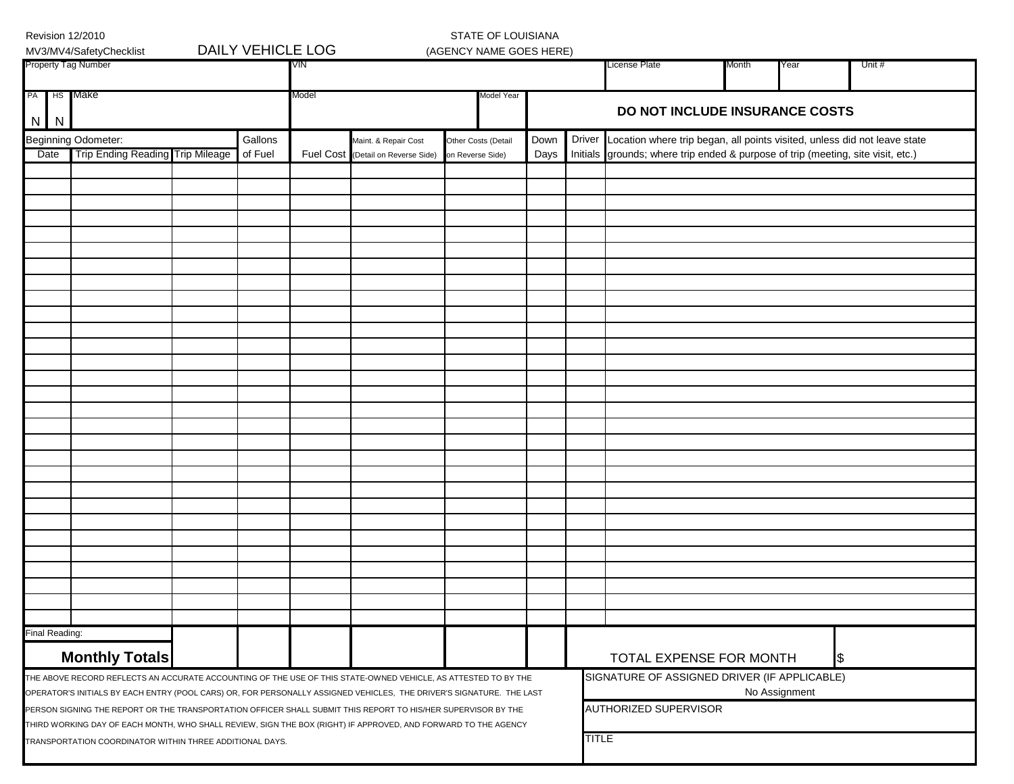|    |                | Revision 12/2010<br>MV3/MV4/SafetyChecklist                                                                                                                                                                                            |  | <b>DAILY VEHICLE LOG</b> |       |                                                            | STATE OF LOUISIANA<br>(AGENCY NAME GOES HERE) |              |               |                                                                                                                                                               |                                |      |        |  |  |  |  |  |  |  |  |
|----|----------------|----------------------------------------------------------------------------------------------------------------------------------------------------------------------------------------------------------------------------------------|--|--------------------------|-------|------------------------------------------------------------|-----------------------------------------------|--------------|---------------|---------------------------------------------------------------------------------------------------------------------------------------------------------------|--------------------------------|------|--------|--|--|--|--|--|--|--|--|
|    |                | Property Tag Number                                                                                                                                                                                                                    |  |                          | VIN   |                                                            |                                               |              |               | License Plate                                                                                                                                                 | Month                          | Year | Unit # |  |  |  |  |  |  |  |  |
| PA | $N$   $N$      | HS Make                                                                                                                                                                                                                                |  |                          | Model |                                                            | Model Year                                    |              |               |                                                                                                                                                               | DO NOT INCLUDE INSURANCE COSTS |      |        |  |  |  |  |  |  |  |  |
|    | Date           | Beginning Odometer:<br>Trip Ending Reading Trip Mileage                                                                                                                                                                                |  | Gallons<br>of Fuel       |       | Maint. & Repair Cost<br>Fuel Cost (Detail on Reverse Side) | Other Costs (Detail                           | Down<br>Days | <b>Driver</b> | Location where trip began, all points visited, unless did not leave state<br>Initials grounds; where trip ended & purpose of trip (meeting, site visit, etc.) |                                |      |        |  |  |  |  |  |  |  |  |
|    |                |                                                                                                                                                                                                                                        |  |                          |       |                                                            | on Reverse Side)                              |              |               |                                                                                                                                                               |                                |      |        |  |  |  |  |  |  |  |  |
|    |                |                                                                                                                                                                                                                                        |  |                          |       |                                                            |                                               |              |               |                                                                                                                                                               |                                |      |        |  |  |  |  |  |  |  |  |
|    |                |                                                                                                                                                                                                                                        |  |                          |       |                                                            |                                               |              |               |                                                                                                                                                               |                                |      |        |  |  |  |  |  |  |  |  |
|    |                |                                                                                                                                                                                                                                        |  |                          |       |                                                            |                                               |              |               |                                                                                                                                                               |                                |      |        |  |  |  |  |  |  |  |  |
|    |                |                                                                                                                                                                                                                                        |  |                          |       |                                                            |                                               |              |               |                                                                                                                                                               |                                |      |        |  |  |  |  |  |  |  |  |
|    |                |                                                                                                                                                                                                                                        |  |                          |       |                                                            |                                               |              |               |                                                                                                                                                               |                                |      |        |  |  |  |  |  |  |  |  |
|    |                |                                                                                                                                                                                                                                        |  |                          |       |                                                            |                                               |              |               |                                                                                                                                                               |                                |      |        |  |  |  |  |  |  |  |  |
|    |                |                                                                                                                                                                                                                                        |  |                          |       |                                                            |                                               |              |               |                                                                                                                                                               |                                |      |        |  |  |  |  |  |  |  |  |
|    |                |                                                                                                                                                                                                                                        |  |                          |       |                                                            |                                               |              |               |                                                                                                                                                               |                                |      |        |  |  |  |  |  |  |  |  |
|    |                |                                                                                                                                                                                                                                        |  |                          |       |                                                            |                                               |              |               |                                                                                                                                                               |                                |      |        |  |  |  |  |  |  |  |  |
|    |                |                                                                                                                                                                                                                                        |  |                          |       |                                                            |                                               |              |               |                                                                                                                                                               |                                |      |        |  |  |  |  |  |  |  |  |
|    |                |                                                                                                                                                                                                                                        |  |                          |       |                                                            |                                               |              |               |                                                                                                                                                               |                                |      |        |  |  |  |  |  |  |  |  |
|    |                |                                                                                                                                                                                                                                        |  |                          |       |                                                            |                                               |              |               |                                                                                                                                                               |                                |      |        |  |  |  |  |  |  |  |  |
|    |                |                                                                                                                                                                                                                                        |  |                          |       |                                                            |                                               |              |               |                                                                                                                                                               |                                |      |        |  |  |  |  |  |  |  |  |
|    |                |                                                                                                                                                                                                                                        |  |                          |       |                                                            |                                               |              |               |                                                                                                                                                               |                                |      |        |  |  |  |  |  |  |  |  |
|    |                |                                                                                                                                                                                                                                        |  |                          |       |                                                            |                                               |              |               |                                                                                                                                                               |                                |      |        |  |  |  |  |  |  |  |  |
|    |                |                                                                                                                                                                                                                                        |  |                          |       |                                                            |                                               |              |               |                                                                                                                                                               |                                |      |        |  |  |  |  |  |  |  |  |
|    |                |                                                                                                                                                                                                                                        |  |                          |       |                                                            |                                               |              |               |                                                                                                                                                               |                                |      |        |  |  |  |  |  |  |  |  |
|    |                |                                                                                                                                                                                                                                        |  |                          |       |                                                            |                                               |              |               |                                                                                                                                                               |                                |      |        |  |  |  |  |  |  |  |  |
|    |                |                                                                                                                                                                                                                                        |  |                          |       |                                                            |                                               |              |               |                                                                                                                                                               |                                |      |        |  |  |  |  |  |  |  |  |
|    |                |                                                                                                                                                                                                                                        |  |                          |       |                                                            |                                               |              |               |                                                                                                                                                               |                                |      |        |  |  |  |  |  |  |  |  |
|    |                |                                                                                                                                                                                                                                        |  |                          |       |                                                            |                                               |              |               |                                                                                                                                                               |                                |      |        |  |  |  |  |  |  |  |  |
|    |                |                                                                                                                                                                                                                                        |  |                          |       |                                                            |                                               |              |               |                                                                                                                                                               |                                |      |        |  |  |  |  |  |  |  |  |
|    | Final Reading: |                                                                                                                                                                                                                                        |  |                          |       |                                                            |                                               |              |               |                                                                                                                                                               |                                |      |        |  |  |  |  |  |  |  |  |
|    |                | <b>Monthly Totals</b>                                                                                                                                                                                                                  |  |                          |       |                                                            |                                               |              |               | TOTAL EXPENSE FOR MONTH<br>æ.                                                                                                                                 |                                |      |        |  |  |  |  |  |  |  |  |
|    |                | THE ABOVE RECORD REFLECTS AN ACCURATE ACCOUNTING OF THE USE OF THIS STATE-OWNED VEHICLE, AS ATTESTED TO BY THE<br>OPERATOR'S INITIALS BY EACH ENTRY (POOL CARS) OR, FOR PERSONALLY ASSIGNED VEHICLES, THE DRIVER'S SIGNATURE. THE LAST |  |                          |       |                                                            | SIGNATURE OF ASSIGNED DRIVER (IF APPLICABLE)  |              | No Assignment |                                                                                                                                                               |                                |      |        |  |  |  |  |  |  |  |  |
|    |                | PERSON SIGNING THE REPORT OR THE TRANSPORTATION OFFICER SHALL SUBMIT THIS REPORT TO HIS/HER SUPERVISOR BY THE                                                                                                                          |  |                          |       |                                                            |                                               |              |               | AUTHORIZED SUPERVISOR                                                                                                                                         |                                |      |        |  |  |  |  |  |  |  |  |
|    |                | THIRD WORKING DAY OF EACH MONTH, WHO SHALL REVIEW, SIGN THE BOX (RIGHT) IF APPROVED, AND FORWARD TO THE AGENCY                                                                                                                         |  |                          |       |                                                            |                                               |              |               |                                                                                                                                                               |                                |      |        |  |  |  |  |  |  |  |  |
|    |                | TRANSPORTATION COORDINATOR WITHIN THREE ADDITIONAL DAYS.                                                                                                                                                                               |  |                          |       | <b>TITLE</b>                                               |                                               |              |               |                                                                                                                                                               |                                |      |        |  |  |  |  |  |  |  |  |